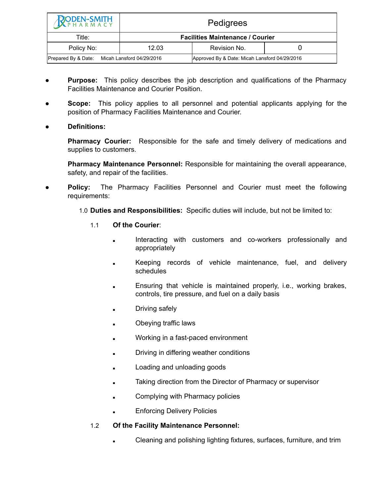| <b>RODEN-SMITH</b>                               | Pedigrees                               |                                               |  |
|--------------------------------------------------|-----------------------------------------|-----------------------------------------------|--|
| Title:                                           | <b>Facilities Maintenance / Courier</b> |                                               |  |
| Policy No:                                       | 12.03                                   | Revision No.                                  |  |
| Micah Lansford 04/29/2016<br>Prepared By & Date: |                                         | Approved By & Date: Micah Lansford 04/29/2016 |  |

- **Purpose:** This policy describes the job description and qualifications of the Pharmacy Facilities Maintenance and Courier Position.
- **Scope:** This policy applies to all personnel and potential applicants applying for the position of Pharmacy Facilities Maintenance and Courier.
- **● Definitions:**

**Pharmacy Courier:** Responsible for the safe and timely delivery of medications and supplies to customers.

**Pharmacy Maintenance Personnel:** Responsible for maintaining the overall appearance, safety, and repair of the facilities.

- **Policy:** The Pharmacy Facilities Personnel and Courier must meet the following requirements:
	- 1.0 **Duties and Responsibilities:** Specific duties will include, but not be limited to:
		- 1.1 **Of the Courier**:
			- Interacting with customers and co-workers professionally and appropriately
			- **EXECT** Keeping records of vehicle maintenance, fuel, and delivery schedules
			- Ensuring that vehicle is maintained properly, i.e., working brakes, controls, tire pressure, and fuel on a daily basis
			- Driving safely
			- Obeying traffic laws
			- Working in a fast-paced environment
			- Driving in differing weather conditions
			- Loading and unloading goods
			- Taking direction from the Director of Pharmacy or supervisor
			- Complying with Pharmacy policies
			- **Enforcing Delivery Policies**

## 1.2 **Of the Facility Maintenance Personnel:**

Cleaning and polishing lighting fixtures, surfaces, furniture, and trim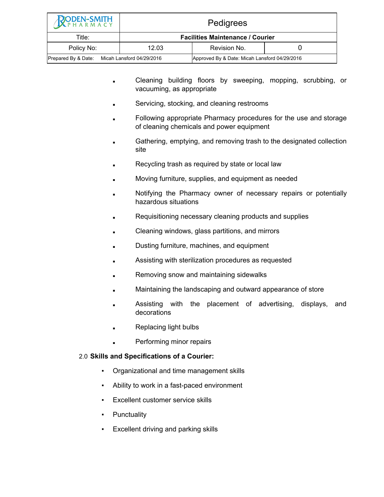| <b>PODEN-SMITH</b>                            | <b>Pedigrees</b>                        |                                               |  |
|-----------------------------------------------|-----------------------------------------|-----------------------------------------------|--|
| Title:                                        | <b>Facilities Maintenance / Courier</b> |                                               |  |
| Policy No:                                    | 12.03                                   | Revision No.                                  |  |
| Prepared By & Date: Micah Lansford 04/29/2016 |                                         | Approved By & Date: Micah Lansford 04/29/2016 |  |

- Cleaning building floors by sweeping, mopping, scrubbing, or vacuuming, as appropriate
- Servicing, stocking, and cleaning restrooms
- Following appropriate Pharmacy procedures for the use and storage of cleaning chemicals and power equipment
- Gathering, emptying, and removing trash to the designated collection site
- Recycling trash as required by state or local law
- Moving furniture, supplies, and equipment as needed
- Notifying the Pharmacy owner of necessary repairs or potentially hazardous situations
- Requisitioning necessary cleaning products and supplies
- Cleaning windows, glass partitions, and mirrors
- Dusting furniture, machines, and equipment
- Assisting with sterilization procedures as requested
- Removing snow and maintaining sidewalks
- Maintaining the landscaping and outward appearance of store
- Assisting with the placement of advertising, displays, and decorations
- **Replacing light bulbs**
- Performing minor repairs

## 2.0 **Skills and Specifications of a Courier:**

- Organizational and time management skills
- Ability to work in a fast-paced environment
- Excellent customer service skills
- **•** Punctuality
- Excellent driving and parking skills